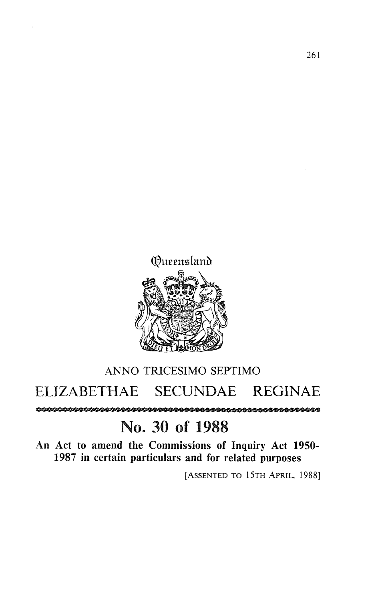

## ANNO TRICESIMO SEPTIMO ELIZABETHAE SECUNDAE REGINAE

## No. 30 of 1988

An Act to amend the Commissions of Inquiry Act 1950-1987 in certain particulars and for related purposes

[ASSENTED TO 15TH APRIL, 1988]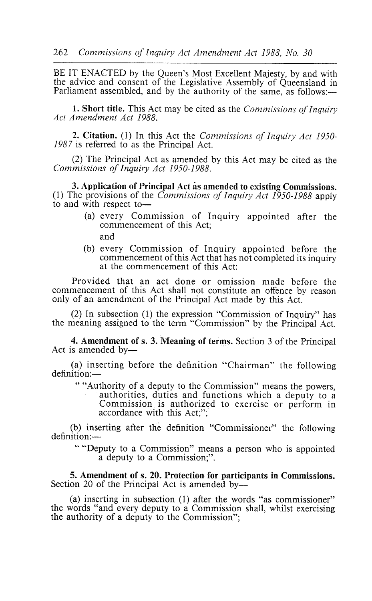BE IT ENACTED by the Queen's Most Excellent Majesty, by and with the advice and consent of the Legislative Assembly of Queensland in Parliament assembled, and by the authority of the same, as follows:—

**1. Short title** . This Act may be cited as the *Commissions of Inquiry Act Amendment Act 1988.*

**2. Citation**. (1) In this Act the *Commissions of Inquiry Act 1950- 1987* is referred to as the Principal Act.

(2) The Principal Act as amended by this Act may be cited as the *Commissions of Inquiry Act 1950-1988.*

**3. Application of Principal** Act as **amended to existing Commissions.** (1) The provisions of the *Commissions of Inquiry Act 1950-1988* apply to and with respect to-

- (a) every Commission of Inquiry appointed after the commencement of this Act; and
- (b) every Commission of Inquiry appointed before the commencement of this Act that has not completed its inquiry at the commencement of this Act:

Provided that an act done or omission made before the commencement of this Act shall not constitute an offence by reason only of an amendment of the Principal Act made by this Act.

(2) In subsection (1) the expression "Commission of Inquiry" has the meaning assigned to the term "Commission" by the Principal Act.

4. Amendment of s. 3. Meaning of terms. Section 3 of the Principal Act is amended by-

(a) inserting before the definition "Chairman" the following definition:-

"Authority of a deputy to the Commission" means the powers, authorities, duties and functions which a deputy to a Commission is authorized to exercise or perform in accordance with this Act;";

(b) inserting after the definition "Commissioner" the following definition:-

"Deputy to a Commission" means a person who is appointed a deputy to a Commission;".

**5. Amendment of s. 20. Protection for participants in Commissions.** Section 20 of the Principal Act is amended by-

(a) inserting in subsection (1) after the words "as commissioner" the words "and every deputy to a Commission shall, whilst exercising the authority of a deputy to the Commission";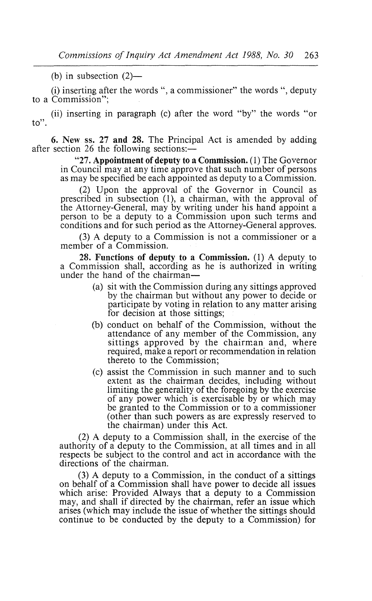(b) in subsection  $(2)$ —

(i) inserting after the words ", a commissioner" the words ", deputy to a Commission";

(ii) inserting in paragraph (c) after the word "by" the words "or to".

6. New **ss. 27 and** 28. The Principal Act is amended by adding after section 26 the following sections: $-$ 

**"27. Appointment of deputy to a Commission** . (1) The Governor in Council may at any time approve that such number of persons as may be specified be each appointed as deputy to a Commission.

(2) Upon the approval of the Governor in Council as prescribed in subsection (1), a chairman, with the approval of the Attorney-General, may by writing under his hand appoint a person to be a deputy to a Commission upon such terms and conditions and for such period as the Attorney-General approves.

(3) A deputy to a Commission is not a commissioner or a member of a Commission.

**28. Functions of deputy to a Commission**. (1) A deputy to a Commission shall, according as he is authorized in writing under the hand of the chairman-

- (a) sit with the Commission during any sittings approved by the chairman but without any power to decide or participate by voting in relation to any matter **arising** for decision at those sittings;
- (b) conduct on behalf of the Commission, without the attendance of any member of the Commission, any **sittings** approved by the chairman and, where required, make a report or recommendation **in relation** thereto to the Commission;
- (c) assist the Commission in such manner and to such extent as the chairman decides, including without limiting the generality of the foregoing by the exercise of any power which is exercisable by or which may be granted to the Commission or to a commissioner (other than such powers as are expressly reserved to the chairman) under this Act.

(2) A deputy to a Commission shall, in the exercise of the authority of a deputy to the Commission, **at all times and in all** respects be subject to the control and act in accordance with the directions of the chairman.

(3) A deputy to a Commission, in the conduct of a sittings on behalf of a Commission shall have power to decide **all issues** which arise: Provided Always that a deputy to a Commission may, and shall if directed by the chairman, refer **an issue which** arises (which may include the issue of whether the sittings should continue to be conducted by the deputy to a Commission) for